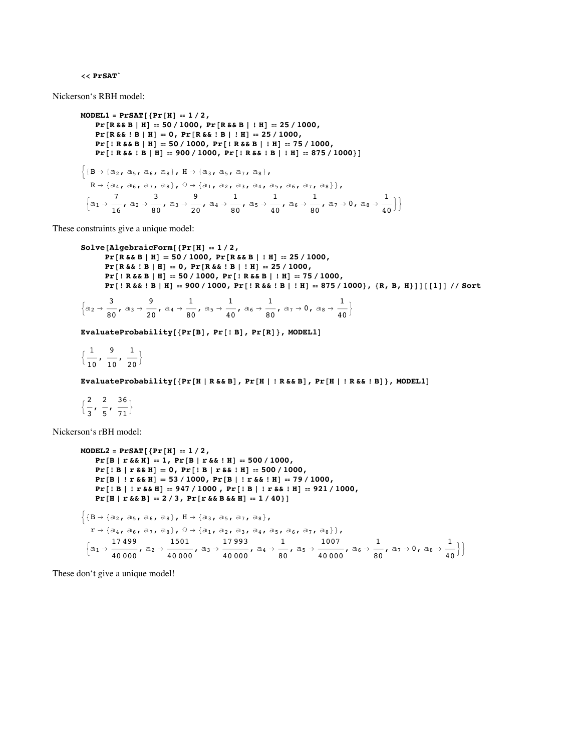## $<<$  PrSAT

Nickerson's RBH model:

```
MODEL1 = PrSAT [{Pr[H] = 1 / 2,Pr[R & E B | H] = 50 / 1000, Pr[R & E B | H] = 25 / 1000,
      Pr[R & & | B | H] = 0, Pr[R & & | B | H] = 25 / 1000,
      Pr[ ! R & & B | H] = 50 / 1000, Pr[ ! R & & B | ! H] = 75 / 1000,
      Pr[ | R&& | B | H] = 900 / 1000, Pr[ | R&& | B | | H] = 875 / 1000 }]
\{B \rightarrow \{a_2, a_5, a_6, a_8\}, H \rightarrow \{a_3, a_5, a_7, a_8\},\}R \rightarrow \left\{ \texttt{a}_4\texttt{, a}_6\texttt{, a}_7\texttt{, a}_8 \right\}\texttt{, }\Omega \rightarrow \left\{ \texttt{a}_1\texttt{, a}_2\texttt{, a}_3\texttt{, a}_4\texttt{, a}_5\texttt{, a}_6\texttt{, a}_7\texttt{, a}_8 \right\}\texttt{,}\left\{\mathtt{a}_1\to\frac{7}{16},\;\mathtt{a}_2\to\frac{3}{80},\;\mathtt{a}_3\to\frac{9}{20},\;\mathtt{a}_4\to\frac{1}{80},\;\mathtt{a}_5\to\frac{1}{40},\;\mathtt{a}_6\to\frac{1}{80},\;\mathtt{a}_7\to0,\;\mathtt{a}_8\to\frac{1}{40}\right\}\right\}
```
These constraints give a unique model:

```
Solve[AlgebraicForm[{Pr[H] = 1 / 2},
      Pr[R &E &B | H] = 50/1000, Pr[R &E &B | H] = 25/1000,
      Pr[R & & 1 B | H] = 0, Pr[R & & 1 B | H] = 25 / 1000,Pr[ | R&& B | H] = 50 / 1000, Pr[ | R&& B | | H] = 75 / 1000,
      Pr[ | R&& | B | H] == 900 / 1000, Pr[ | R&& | B | | H] == 875 / 1000}, (R, B, H)]] [[1]] // Sort
       \mathbf{a}\mathsf q\overline{1}\mathbf{1}
```

$$
\left\{\mathbf{a}_2\rightarrow\frac{\mathbf{b}}{\mathbf{80}},\ \mathbf{a}_3\rightarrow\frac{\mathbf{b}}{\mathbf{20}},\ \mathbf{a}_4\rightarrow\frac{\mathbf{b}}{\mathbf{80}},\ \mathbf{a}_5\rightarrow\frac{\mathbf{b}}{\mathbf{40}},\ \mathbf{a}_6\rightarrow\frac{\mathbf{b}}{\mathbf{80}},\ \mathbf{a}_7\rightarrow\mathbf{0},\ \mathbf{a}_8\rightarrow\frac{\mathbf{b}}{\mathbf{40}}\right\}
$$

EvaluateProbability[{Pr[B], Pr[!B], Pr[R]}, MODEL1]

 $\left\{\frac{1}{10}, \frac{9}{10}, \frac{1}{20}\right\}$ 

EvaluateProbability[{Pr[H | R & B], Pr[H | ! R & B], Pr[H | ! R & & ! B]}, MODEL1]

 $\left\{\frac{2}{3}, \frac{2}{5}, \frac{36}{71}\right\}$ 

Nickerson's rBH model:

```
MODEL2 = PrSAT[{Pr[H] = 1 / 2,Pr[B | r \& K H] = 1, Pr[B | r \& K : H] = 500 / 1000,
       Pr[!B | r \& K]] = 0, Pr[!B | r \& K] = 500 / 1000,
       Pr[B | ! r & \& K]] = 53 / 1000, Pr[B | ! r & \& ! H] = 79 / 1000,Pr[! B | ! r & \& H] = 947 / 1000, Pr[! B | ! r & \& ! H] = 921 / 1000,
       Pr[H | r & \& B] = 2/3, Pr[r & \& B & B & H] = 1/40]\{B \rightarrow \{a_2, a_5, a_6, a_8\}, H \rightarrow \{a_3, a_5, a_7, a_8\},\}\mathtt{r}\rightarrow\{\mathtt{a}_4\,,\;\mathtt{a}_6\,,\;\mathtt{a}_7\,,\;\mathtt{a}_8\}\,,\;\mathtt{\Omega}\rightarrow\{\mathtt{a}_1\,,\;\mathtt{a}_2\,,\;\mathtt{a}_3\,,\;\mathtt{a}_4\,,\;\mathtt{a}_5\,,\;\mathtt{a}_6\,,\;\mathtt{a}_7\,,\;\mathtt{a}_8\}\}\,,\Big\{\textcolor{blue}{a_1}\rightarrow \frac{17\,499}{40\,000}\,,\,\, \textcolor{blue}{a_2}\rightarrow \frac{1501}{40\,000}\,,\,\, \textcolor{blue}{a_3}\rightarrow \frac{17\,993}{40\,000}\,,\,\, \textcolor{blue}{a_4}\rightarrow \frac{1}{80}\,,\,\, \textcolor{blue}{a_5}\rightarrow \frac{1007}{40\,000}\,,\,\, \textcolor{blue}{a_6}\rightarrow \frac{1}{80}\,,\,\, \textcolor{blue}{a_7}\rightarrow \textcolor{blue}{0}\,,\,\, \textcolor{blue}{a_8}\rightarrow \frac{1}{40
```
These don't give a unique model!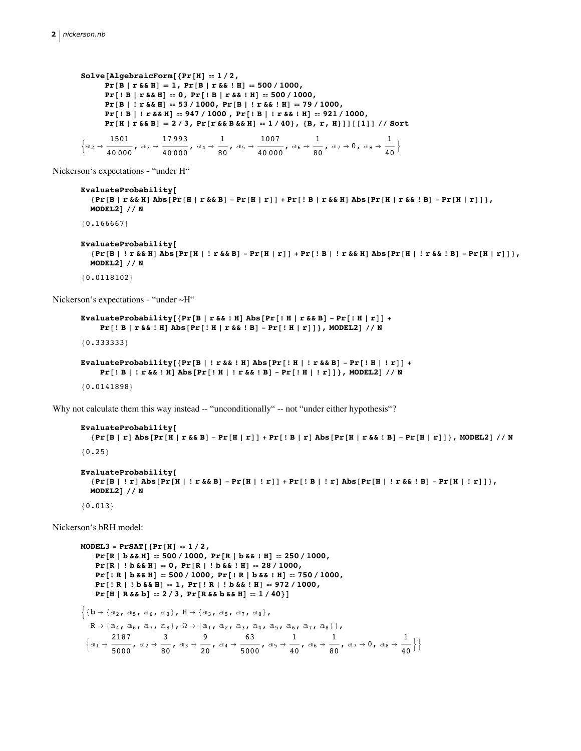```
Solve[AlgebraicForm[{Pr[H] = 1 / 2},
          Pr[B | r & \& M] = 1, Pr[B | r & \& ! H] = 500 / 1000,Pr[!B | r & \& H] = 0, Pr[!B | r & \& [H] = 500 / 1000,Pr[B | ! r & \& H] = 53 / 1000, Pr[B | ! r & \& ! H] = 79 / 1000,Pr[! B | ! r \& H] = 947 / 1000, Pr[! B | ! r \& L H] = 921 / 1000,
         Pr[H | r & \& B] = 2/3, Pr[r & \& B & \& H] = 1/40, {B, r, H}]][[1]] // Sort\Big\{\texttt{a}_2\rightarrow \frac{1501}{40\,000}\,,\ \texttt{a}_3\rightarrow \frac{17\,993}{40\,000}\,,\ \texttt{a}_4\rightarrow \frac{1}{80}\,,\ \texttt{a}_5\rightarrow \frac{1007}{40\,000}\,,\ \texttt{a}_6\rightarrow \frac{1}{80}\,,\ \texttt{a}_7\rightarrow \texttt{0}\,,\ \texttt{a}_8\rightarrow \frac{1}{40} \Big\}
```
Nickerson's expectations - "under H"

```
EvaluateProbability[
  \{Pr[B \mid r \& k]] Abs[Pr[H \mid r \& k] - Pr[H \mid r]] + Pr[IB \mid r \& k]] Abs[Pr[H \mid r \& k] - Pr[H \mid r]]\},
  MODEL2] // N
{0.166667}
```

```
EvaluateProbability[
   \{Pr[B \mid ! r \& & H] Abs [Pr[H \mid ! r \& & B] - Pr[H \mid r]] + Pr[IB \mid ! r \& & H] Abs [Pr[H \mid ! r \& & B] - Pr[H \mid r]]\},
  MODEL2\frac{1}{7} / N
```
 ${0.0118102}$ 

Nickerson's expectations - "under  $\sim$ H"

```
EvaluateProbability[{Pr[B | r & & ! H] Abs[Pr[! H | r & & B] - Pr[! H | r]] +
    Pr[! B | r \&& | H] Abs [Pr[! H | r \&& | B] - Pr[! H | r]], MODEL2] // N
{0.333333}
```

```
EvaluateProbability[{Pr[B | ! r & & ! H] Abs[Pr[! H | ! r & & B] - Pr[! H | ! r]] +
      Pr[IB | ! r & & & 0 \text{ and } Pr[! H | ! r & & 0 \text{ and } Pr[! H | ! r & & 0 \text{ and } Pr[! H | ! r]]], \text{ MODEL2} ] // N{0.0141898}
```
Why not calculate them this way instead -- "unconditionally" -- not "under either hypothesis"?

```
EvaluateProbability[
   \{Pr[B | r] Abs[Pr[H | r & & B] - Pr[H | r] ] + Pr[!B | r] Abs[Pr[H | r & & B] - Pr[H | r]] \}, MODEL2] // N
{0.25}EvaluateProbability[
   \texttt{\{Pr[B \mid r \;]\; Abs[Pr[H \mid \texttt{! r} \& B] - Pr[H \mid \texttt{! r}]\} + Pr[\texttt{! B} \mid \texttt{! r}]\; Abs[Pr[H \mid \texttt{! r} \& \texttt{! B}] - Pr[H \mid \texttt{! r}]\}}\texttt{\,,}MODEL2] // N
```

```
{0.013}
```
Nickerson's bRH model:

```
MODEL3 = PrSAT[{Pr[H] = 1 / 2,}Pr[R | b & \& B] = 500 / 1000, Pr[R | b & \& I H] = 250 / 1000,Pr[R | ! b & \& H] = 0, Pr[R | ! b & \& ! H] = 28 / 1000,Pr[! R | b & \& B] = 500 / 1000, Pr[! R | b & \& B] = 750 / 1000,
      Pr[!R|!b&&H] = 1, Pr[!R|!b&&!H] = 972/1000,
      Pr[H | R & \& b] = 2 / 3, Pr[R & \& b & \& H] = 1 / 40]\{b \rightarrow \{a_2, a_5, a_6, a_8\}, H \rightarrow \{a_3, a_5, a_7, a_8\},\}\texttt{R} \rightarrow \left\{\texttt{a}_4\texttt{, a}_6\texttt{, a}_7\texttt{, a}_8\right\}\texttt{, }\Omega \rightarrow \left\{\texttt{a}_1\texttt{, a}_2\texttt{, a}_3\texttt{, a}_4\texttt{, a}_5\texttt{, a}_6\texttt{, a}_7\texttt{, a}_8\right\}\right\}\texttt{,}\Big\{\text{a}_1\rightarrow \frac{2187}{5000}, \ \text{a}_2\rightarrow \frac{3}{80}, \ \text{a}_3\rightarrow \frac{9}{20}, \ \text{a}_4\rightarrow \frac{63}{5000}, \ \text{a}_5\rightarrow \frac{1}{40}, \ \text{a}_6\rightarrow \frac{1}{80}, \ \text{a}_7\rightarrow 0, \ \text{a}_8\rightarrow \frac{1}{40} \Big\} \Big\}
```